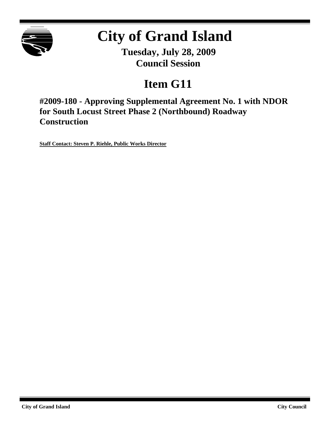

## **City of Grand Island**

**Tuesday, July 28, 2009 Council Session**

## **Item G11**

**#2009-180 - Approving Supplemental Agreement No. 1 with NDOR for South Locust Street Phase 2 (Northbound) Roadway Construction**

**Staff Contact: Steven P. Riehle, Public Works Director**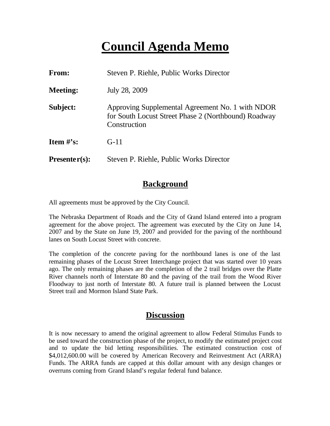### **Council Agenda Memo**

| <b>From:</b>    | Steven P. Riehle, Public Works Director                                                                                  |
|-----------------|--------------------------------------------------------------------------------------------------------------------------|
| <b>Meeting:</b> | July 28, 2009                                                                                                            |
| Subject:        | Approving Supplemental Agreement No. 1 with NDOR<br>for South Locust Street Phase 2 (Northbound) Roadway<br>Construction |
| Item $\#$ 's:   | $G-11$                                                                                                                   |
| $Presenter(s):$ | Steven P. Riehle, Public Works Director                                                                                  |

#### **Background**

All agreements must be approved by the City Council.

The Nebraska Department of Roads and the City of Grand Island entered into a program agreement for the above project. The agreement was executed by the City on June 14, 2007 and by the State on June 19, 2007 and provided for the paving of the northbound lanes on South Locust Street with concrete.

The completion of the concrete paving for the northbound lanes is one of the last remaining phases of the Locust Street Interchange project that was started over 10 years ago. The only remaining phases are the completion of the 2 trail bridges over the Platte River channels north of Interstate 80 and the paving of the trail from the Wood River Floodway to just north of Interstate 80. A future trail is planned between the Locust Street trail and Mormon Island State Park.

#### **Discussion**

It is now necessary to amend the original agreement to allow Federal Stimulus Funds to be used toward the construction phase of the project, to modify the estimated project cost and to update the bid letting responsibilities. The estimated construction cost of \$4,012,600.00 will be covered by American Recovery and Reinvestment Act (ARRA) Funds. The ARRA funds are capped at this dollar amount with any design changes or overruns coming from Grand Island's regular federal fund balance.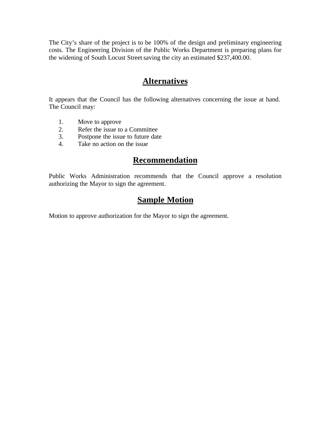The City's share of the project is to be 100% of the design and preliminary engineering costs. The Engineering Division of the Public Works Department is preparing plans for the widening of South Locust Street saving the city an estimated \$237,400.00.

#### **Alternatives**

It appears that the Council has the following alternatives concerning the issue at hand. The Council may:

- 1. Move to approve
- 2. Refer the issue to a Committee
- 3. Postpone the issue to future date
- 4. Take no action on the issue

#### **Recommendation**

Public Works Administration recommends that the Council approve a resolution authorizing the Mayor to sign the agreement.

#### **Sample Motion**

Motion to approve authorization for the Mayor to sign the agreement.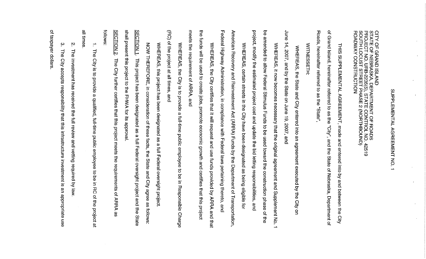# SUPPLEMENTAL AGREEMENT NO.  $\overline{\phantom{a}}$

CITY OF GRAND ISLAND<br>STATE OF NEBRASKA, DEPARTMENT OF ROADS<br>PROJECT NO. URB-2235(5), STATE CONTROL NO. 4<br>SOUTH LOCUST STREET PHASE 2 (NORTHBOUND)<br>ROADWAY CONSTRUCTION 42519

 $\overline{\sigma}$ Foads, hereinater referred to as the "State" Grand Island, hereinafter referred to as the THIS SUPPLEMENTAL AGREEMENT, made and entered into by and between the "City", and the State of Nebraska, Department of o<br>संद

**MITNESSETH:** 

June 14, 2007, and by the State on June 19, 2007, and WHEREAS, the State and City entered into an agreement executed by the City on

project, modify the estimated project cost and update the bid letting responsibilities, and 90 amended to allow Federal Stimulus Funds to be used toward the construction phase of the WHEREAS, it now becomes necessary that the original agreement and Supplement No.  $\rightarrow$ 

Federal Highway Administration, in compliance with Federal laws pertaining thereto, American Recovery and Reinvestment Act (ARRA) Funds by the Department of Transportation. WHEREAS, certain streets in the City have been designated as being eligible for and

meets the requirement of ARRA, and the funds will be used to create jobs, promote economic growth and certifies that this project WHEREAS, the City certifies that it will request and use funds provided by ARRA and that

 $\widehat{B}$ of the project at all times, and WHERAS, the City is to provide a full-time public employee to be in Responsible Charge

WHEREAS, this project has been designated as a full Federal oversight project

shall present this project to the FHWA for its approval. **SECTION 1.** NON THEREFORE, This project has been designated as a full Federal oversight project and the State in consideration of these facts, the State and City agree as tollows:

**Follows SECTION 2** The City further certifies that this project meets the requirements of ARRA 8g

all times  $\rightarrow$ **The** City is to provide a qualified, full-time public employee to be in RC of the project at

 $\boldsymbol{\mathsf{N}}$ The investment has received the full review and vetting required by law.

of taxpayer dollars  $\omega$ **The** City accepts responsibility that this infrastructure investment is an appropriate use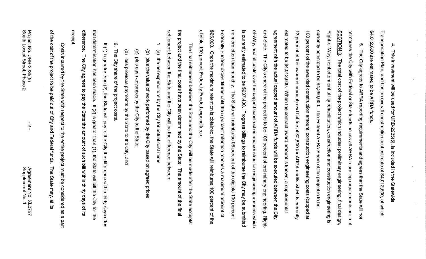\$4,012,600 are estimated to be ARRA funds Transportation Plan, and has an overall construction cost estimate of \$4,012,600, of which 4 This investment will be used for URB-2235(5), is included in the Statewide

eligible 100 percent Federally Funded expenditures. \$25,000. Federally Funded expenditures until the 5 percent retention reaches a maximum amount of no more is currently estimated to be \$237,400. Progress billings to reimburse the City may be submitted of-Way, and all costs over the capped construction and construction engineering amounts which and State. The City's share of the project is to be 100 percent of preliminary engineering, Rightagreement with the actual capped amount of ARRA funds will be executed between the City estimated to be \$4,012,600. When the contract award amount is known, a supplemental currently estimated to be \$4,250,000. 13 percent of the awarded amount) and flat fee of \$2,500 for ARRA audits which is currently 100 percent of the awarded construction amount, construction engineering costs (capped Right-of-Way, nonbetterment utility rehabilitation, construction and construction engineering is SECTION 3. The total cost of the project which includes: preliminary engineering, final design, reimburse the City with Federal or State funds unless all ARRA reporting requirements are met. ņ, often than monthly. Once the maximum retention is obtained, the State will reimburse 100 percent of the The City agrees to ARRA reporting requirements and agrees that the State will not The State will reimburse 95 percent of the eligible 100 percent The Federal ARRA Share of the project is to be  $\overline{\omega}$ 

settlement between the State and the City will be the difference between: the project and the final costs have been determined by the State. The final settlement between the State and the City will be made after the State The amount of the final accepts

- $\overline{a}$ (a) the net expenditure by the City for actual cost items
- $\widehat{\sigma}$ plus the value of work performed by the City based on agreed prices
- $\widehat{\mathbf{e}}$ plus cash advances by the City to the State
- $\widehat{e}$ less previous payments by the State to the City, and
- $\mathbf{v}$ The City share of the project costs

difference. that determination has been made. If (2) is greater than (1), the State will bill the City for the If (1) is greater than (2), the State will pay to the City the difference within thirty days after The City agrees to pay the State the amount of such bill within thirty days of its

of the cost of the Costs incurred by the State with respect to the entire project must be considered project to be paid out of City and Federal functs. The State may, at its 8S  $\pmb{\omega}$ part

receipt

 $\mathbf{v}$ 

Agreement No. XL0727<br>Supplement No. 1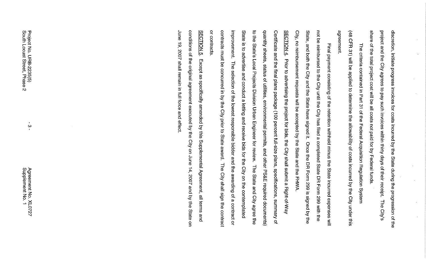share of the total project cost will be all costs not paid for by Federal funds. project and the City agrees to pay such invoices within thirty days of their receipt. The City's discretion, initiate progress invoices for costs incurred by the State during the progression of the

 $\overline{48}$ agreement CFR 31) will be applied to determine the allowability of costs incurred by the City under this The criteria contained in Part 31 of the Federal Acquisition Regulation System

City, no reimbursement requests will be accepted by the State and the FHWA. State, and both the City and the State have signed it. Once the DR Form 299 is signed by the not be reimbursed to the City until the City has filed a completed State DR Form 299 with the Final payment consisting of the retention withheld minus the State incurred expenses will

or contracts contracts must be concurred in by the City prior to State award. The City shall sign the contract improvement. State is to advertise and conduct a letting and receive bids for the City on the contemplated to the State's Local Projects Division Urban Engineer for review. The State and City agree the quantity sheets, status of utilities, environmental permits, and other PS&E required documents) Certificate and the final plans package (100 percent full-size plans, specifications, summary of SECTION 4. Prior to advertising the project for bids, the City shall submit a Right-of-Way The selection of the lowest responsible bidder and the awarding of a contract or

June 19, 2007 shall remain in tull to and effect conditions of the original agreement executed by the City on June 14, 2007 and by the State SECTION 5. Except as specifically amended by this Supplemental Agreement, all terms and  $\overline{a}$ 

 $\omega$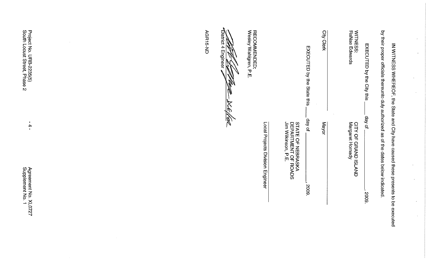| Project No. URB-2235(5)<br>South Locust Street, Phase 2<br>$\sim$ | AGR15-ND | <i>●</i> District 4 Engineer<br><b>CONTROL</b><br>M<br><b>DCE</b> | RECOMMENDED:<br>Wesley Wahlgren, P.E. |                                  |                                                                 | EXECUTED by the State this | City<br><b>Clerk</b><br>$\alpha_{\rm e}$ . | WITNESS:<br>RaNae Edwards                          | EXECUTED by the City this | by their proper officials thereunto duly authorized as of the dates below indicated.<br>IN WITNESS WHEREOF, the State and City have caused these presents to be executed |  |
|-------------------------------------------------------------------|----------|-------------------------------------------------------------------|---------------------------------------|----------------------------------|-----------------------------------------------------------------|----------------------------|--------------------------------------------|----------------------------------------------------|---------------------------|--------------------------------------------------------------------------------------------------------------------------------------------------------------------------|--|
| $\blacksquare$<br>$\rightarrow$<br>$\mathbf{R}$                   |          |                                                                   |                                       | Local Projects Division Engineer | STATE OF NEBRASKA<br>DEPARTMENT OF ROADS<br>Jim Wilkinson, P.E. | day of                     | Mayor                                      | Margaret Hornady<br><b>CITY OF</b><br>GRAND ISLAND | day of                    |                                                                                                                                                                          |  |
| Agreement No. XL0727<br>Supplement No. 1                          |          |                                                                   |                                       |                                  |                                                                 | 2009.                      |                                            |                                                    | 2009.                     |                                                                                                                                                                          |  |

 $\mathcal{L}$ 

 $\hat{\mathcal{A}}$ 

 $\mathcal{L}$ 

 $\mathcal{L}^{\mathcal{A}}$ 

 $\sim$ 

 $\sim$ 

¥.

 $\mathbf{A}$